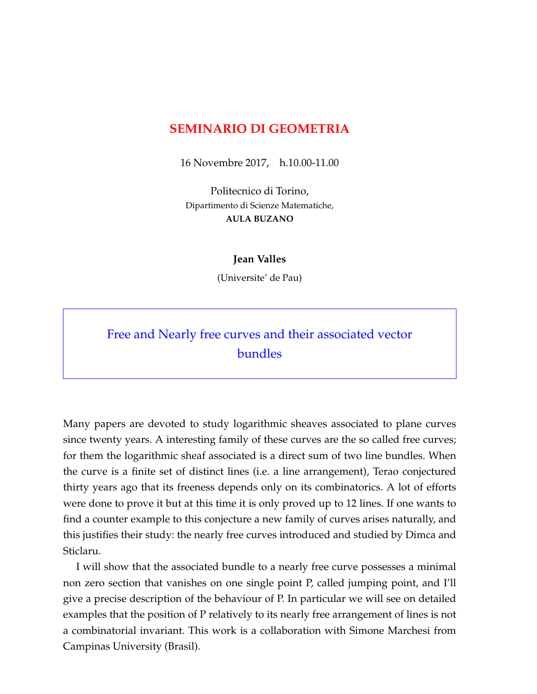## **SEMINARIO DI GEOMETRIA**

16 Novembre 2017, h.10.00-11.00

Politecnico di Torino, Dipartimento di Scienze Matematiche, **AULA BUZANO**

## **Jean Valles**

(Universite' de Pau)

## Free and Nearly free curves and their associated vector bundles

Many papers are devoted to study logarithmic sheaves associated to plane curves since twenty years. A interesting family of these curves are the so called free curves; for them the logarithmic sheaf associated is a direct sum of two line bundles. When the curve is a finite set of distinct lines (i.e. a line arrangement), Terao conjectured thirty years ago that its freeness depends only on its combinatorics. A lot of efforts were done to prove it but at this time it is only proved up to 12 lines. If one wants to find a counter example to this conjecture a new family of curves arises naturally, and this justifies their study: the nearly free curves introduced and studied by Dimca and Sticlaru.

I will show that the associated bundle to a nearly free curve possesses a minimal non zero section that vanishes on one single point P, called jumping point, and I'll give a precise description of the behaviour of P. In particular we will see on detailed examples that the position of P relatively to its nearly free arrangement of lines is not a combinatorial invariant. This work is a collaboration with Simone Marchesi from Campinas University (Brasil).